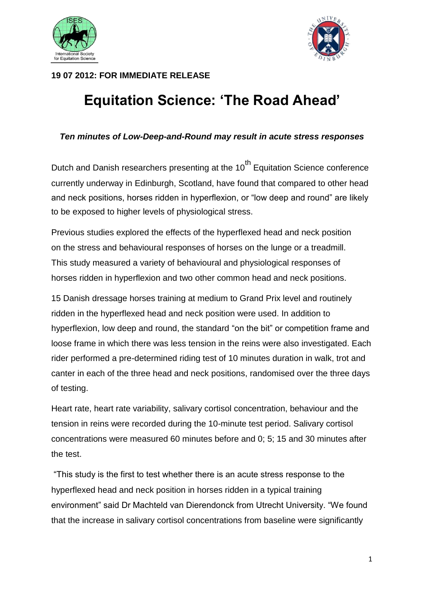



## **19 07 2012: FOR IMMEDIATE RELEASE**

## **Equitation Science: 'The Road Ahead'**

## *Ten minutes of Low-Deep-and-Round may result in acute stress responses*

Dutch and Danish researchers presenting at the 10<sup>th</sup> Equitation Science conference currently underway in Edinburgh, Scotland, have found that compared to other head and neck positions, horses ridden in hyperflexion, or "low deep and round" are likely to be exposed to higher levels of physiological stress.

Previous studies explored the effects of the hyperflexed head and neck position on the stress and behavioural responses of horses on the lunge or a treadmill. This study measured a variety of behavioural and physiological responses of horses ridden in hyperflexion and two other common head and neck positions.

15 Danish dressage horses training at medium to Grand Prix level and routinely ridden in the hyperflexed head and neck position were used. In addition to hyperflexion, low deep and round, the standard "on the bit" or competition frame and loose frame in which there was less tension in the reins were also investigated. Each rider performed a pre-determined riding test of 10 minutes duration in walk, trot and canter in each of the three head and neck positions, randomised over the three days of testing.

Heart rate, heart rate variability, salivary cortisol concentration, behaviour and the tension in reins were recorded during the 10-minute test period. Salivary cortisol concentrations were measured 60 minutes before and 0; 5; 15 and 30 minutes after the test.

"This study is the first to test whether there is an acute stress response to the hyperflexed head and neck position in horses ridden in a typical training environment" said Dr Machteld van Dierendonck from Utrecht University. "We found that the increase in salivary cortisol concentrations from baseline were significantly